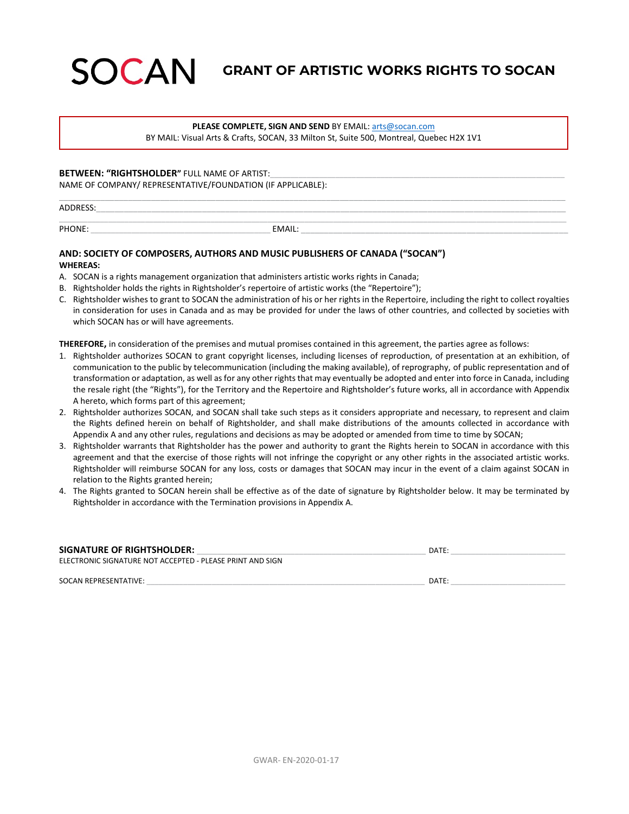# SOCAN **GRANT OF ARTISTIC WORKS RIGHTS TO SOCAN**

#### **PLEASE COMPLETE, SIGN AND SEND** BY EMAIL[: arts@socan.com](mailto:arts@socan.com)

BY MAIL: Visual Arts & Crafts, SOCAN, 33 Milton St, Suite 500, Montreal, Quebec H2X 1V1

#### **BETWEEN: "RIGHTSHOLDER"** FULL NAME OF ARTIST:

NAME OF COMPANY/ REPRESENTATIVE/FOUNDATION (IF APPLICABLE):

\_\_\_\_\_\_\_\_\_\_\_\_\_\_\_\_\_\_\_\_\_\_\_\_\_\_\_\_\_\_\_\_\_\_\_\_\_\_\_\_\_\_\_\_\_\_\_\_\_\_\_\_\_\_\_\_\_\_\_\_\_\_\_\_\_\_\_\_\_\_\_\_\_\_\_\_\_\_\_\_\_\_\_\_\_\_\_\_\_\_\_\_\_\_\_\_\_\_\_\_\_\_\_\_\_\_\_\_\_\_ ADDRESS:\_\_\_\_\_\_\_\_\_\_\_\_\_\_\_\_\_\_\_\_\_\_\_\_\_\_\_\_\_\_\_\_\_\_\_\_\_\_\_\_\_\_\_\_\_\_\_\_\_\_\_\_\_\_\_\_\_\_\_\_\_\_\_\_\_\_\_\_\_\_\_\_\_\_\_\_\_\_\_\_\_\_\_\_\_\_\_\_\_\_\_\_\_\_\_\_\_\_\_\_\_\_

\_\_\_\_\_\_\_\_\_\_\_\_\_\_\_\_\_\_\_\_\_\_\_\_\_\_\_\_\_\_\_\_\_\_\_\_\_\_\_\_\_\_\_\_\_\_\_\_\_\_\_\_\_\_\_\_\_\_\_\_\_\_\_\_\_\_\_\_\_\_\_\_\_\_\_\_\_\_\_\_\_\_\_\_\_\_\_\_\_\_\_\_\_\_\_\_\_\_\_\_\_\_\_\_\_\_\_\_\_\_\_\_\_\_\_\_\_\_\_\_\_\_\_\_

PHONE: \_\_\_\_\_\_\_\_\_\_\_\_\_\_\_\_\_\_\_\_\_\_\_\_\_\_\_\_\_\_\_\_\_\_\_\_\_\_\_\_\_\_\_\_ EMAIL: \_\_\_\_\_\_\_\_\_\_\_\_\_\_\_\_\_\_\_\_\_\_\_\_\_\_\_\_\_\_\_\_\_\_\_\_\_\_\_\_\_\_\_\_\_\_\_\_\_\_\_\_\_\_\_\_\_\_

# **AND: SOCIETY OF COMPOSERS, AUTHORS AND MUSIC PUBLISHERS OF CANADA ("SOCAN") WHEREAS:**

- A. SOCAN is a rights management organization that administers artistic works rights in Canada;
- B. Rightsholder holds the rights in Rightsholder's repertoire of artistic works (the "Repertoire");
- C. Rightsholder wishes to grant to SOCAN the administration of his or her rights in the Repertoire, including the right to collect royalties in consideration for uses in Canada and as may be provided for under the laws of other countries, and collected by societies with which SOCAN has or will have agreements.

**THEREFORE,** in consideration of the premises and mutual promises contained in this agreement, the parties agree as follows:

- 1. Rightsholder authorizes SOCAN to grant copyright licenses, including licenses of reproduction, of presentation at an exhibition, of communication to the public by telecommunication (including the making available), of reprography, of public representation and of transformation or adaptation, as well as for any other rights that may eventually be adopted and enter into force in Canada, including the resale right (the "Rights"), for the Territory and the Repertoire and Rightsholder's future works, all in accordance with Appendix A hereto, which forms part of this agreement;
- 2. Rightsholder authorizes SOCAN, and SOCAN shall take such steps as it considers appropriate and necessary, to represent and claim the Rights defined herein on behalf of Rightsholder, and shall make distributions of the amounts collected in accordance with Appendix A and any other rules, regulations and decisions as may be adopted or amended from time to time by SOCAN;
- 3. Rightsholder warrants that Rightsholder has the power and authority to grant the Rights herein to SOCAN in accordance with this agreement and that the exercise of those rights will not infringe the copyright or any other rights in the associated artistic works. Rightsholder will reimburse SOCAN for any loss, costs or damages that SOCAN may incur in the event of a claim against SOCAN in relation to the Rights granted herein;
- 4. The Rights granted to SOCAN herein shall be effective as of the date of signature by Rightsholder below. It may be terminated by Rightsholder in accordance with the Termination provisions in Appendix A.

| <b>SIGNATURE OF RIGHTSHOLDER:</b>                         | <b>DATE</b> |
|-----------------------------------------------------------|-------------|
| ELECTRONIC SIGNATURE NOT ACCEPTED - PLEASE PRINT AND SIGN |             |

SOCAN REPRESENTATIVE: \_\_\_\_\_\_\_\_\_\_\_\_\_\_\_\_\_\_\_\_\_\_\_\_\_\_\_\_\_\_\_\_\_\_\_\_\_\_\_\_\_\_\_\_\_\_\_\_\_\_\_\_\_\_\_\_\_\_\_\_\_\_\_\_\_\_\_\_ DATE: \_\_\_\_\_\_\_\_\_\_\_\_\_\_\_\_\_\_\_\_\_\_\_\_\_\_\_\_